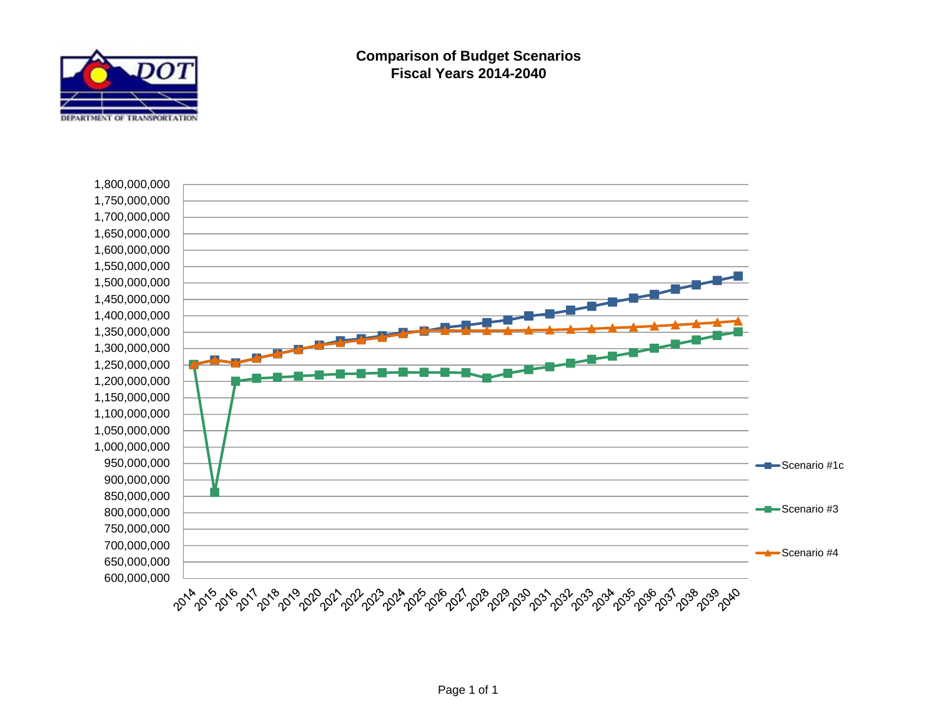

**Comparison of Budget Scenarios Fiscal Years 2014-2040**

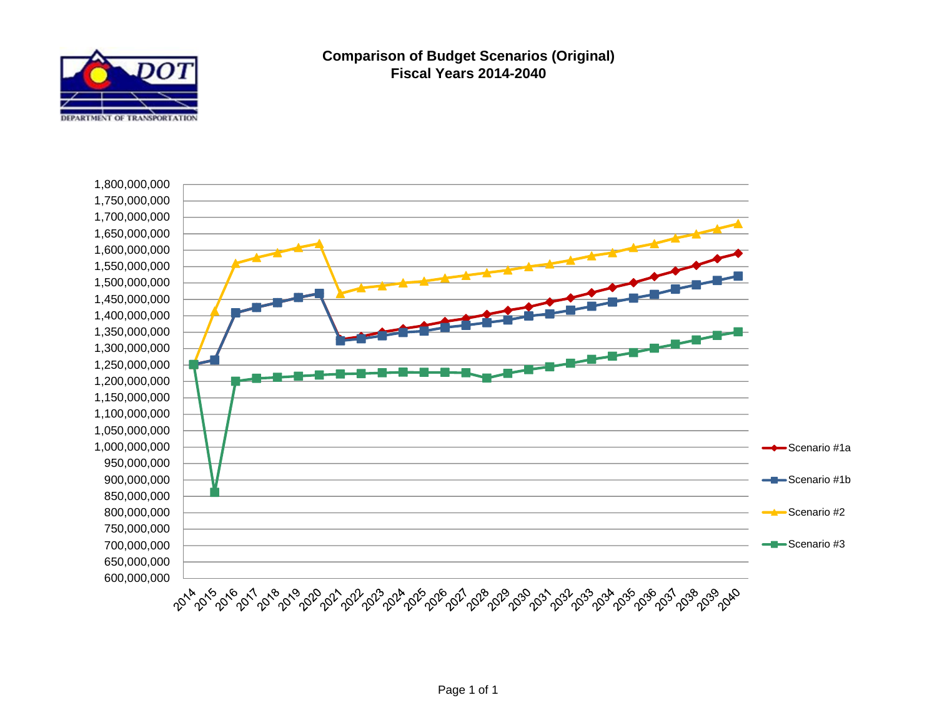

**Comparison of Budget Scenarios (Original) Fiscal Years 2014-2040**

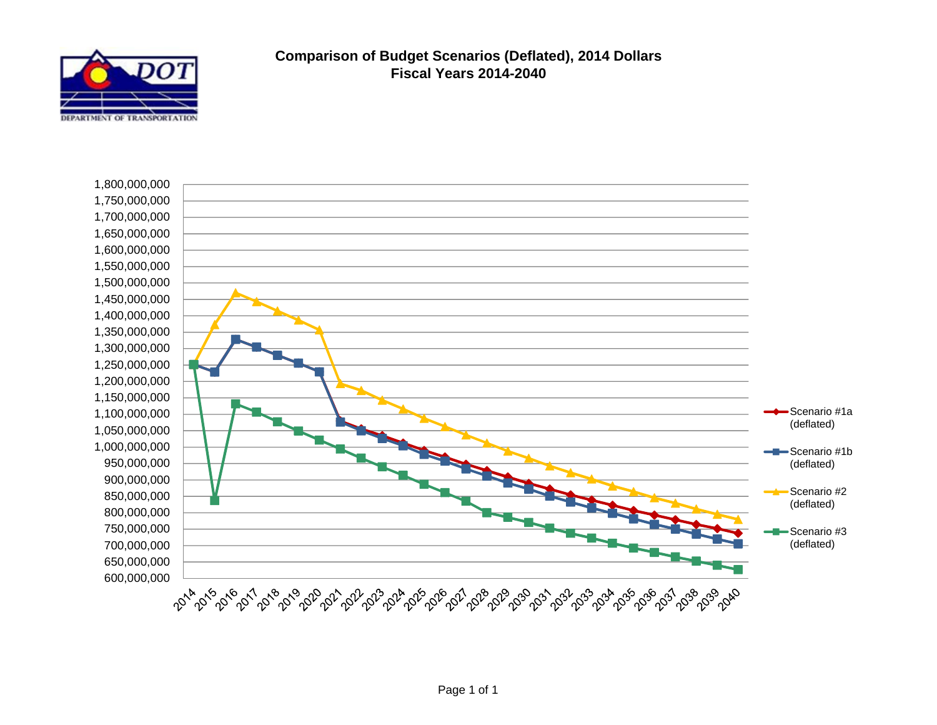

## **Comparison of Budget Scenarios (Deflated), 2014 Dollars Fiscal Years 2014-2040**

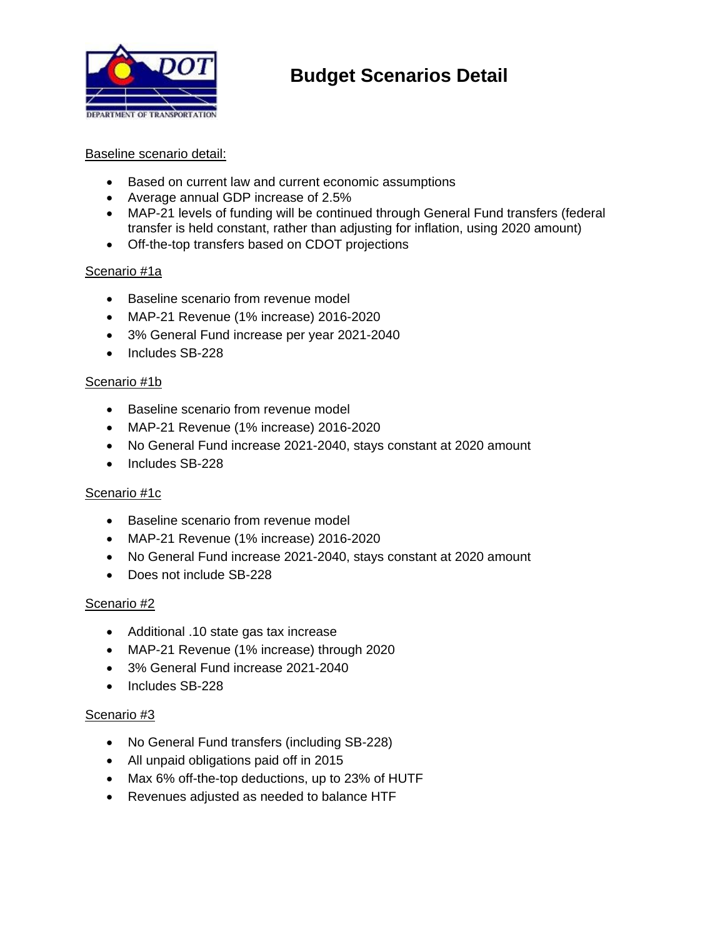

# **Budget Scenarios Detail**

#### Baseline scenario detail:

- Based on current law and current economic assumptions
- Average annual GDP increase of 2.5%
- MAP-21 levels of funding will be continued through General Fund transfers (federal transfer is held constant, rather than adjusting for inflation, using 2020 amount)
- Off-the-top transfers based on CDOT projections

#### Scenario #1a

- Baseline scenario from revenue model
- MAP-21 Revenue (1% increase) 2016-2020
- 3% General Fund increase per year 2021-2040
- Includes SB-228

#### Scenario #1b

- Baseline scenario from revenue model
- MAP-21 Revenue (1% increase) 2016-2020
- No General Fund increase 2021-2040, stays constant at 2020 amount
- Includes SB-228

#### Scenario #1c

- Baseline scenario from revenue model
- MAP-21 Revenue (1% increase) 2016-2020
- No General Fund increase 2021-2040, stays constant at 2020 amount
- Does not include SB-228

#### Scenario #2

- Additional .10 state gas tax increase
- MAP-21 Revenue (1% increase) through 2020
- 3% General Fund increase 2021-2040
- Includes SB-228

#### Scenario #3

- No General Fund transfers (including SB-228)
- All unpaid obligations paid off in 2015
- Max 6% off-the-top deductions, up to 23% of HUTF
- Revenues adjusted as needed to balance HTF